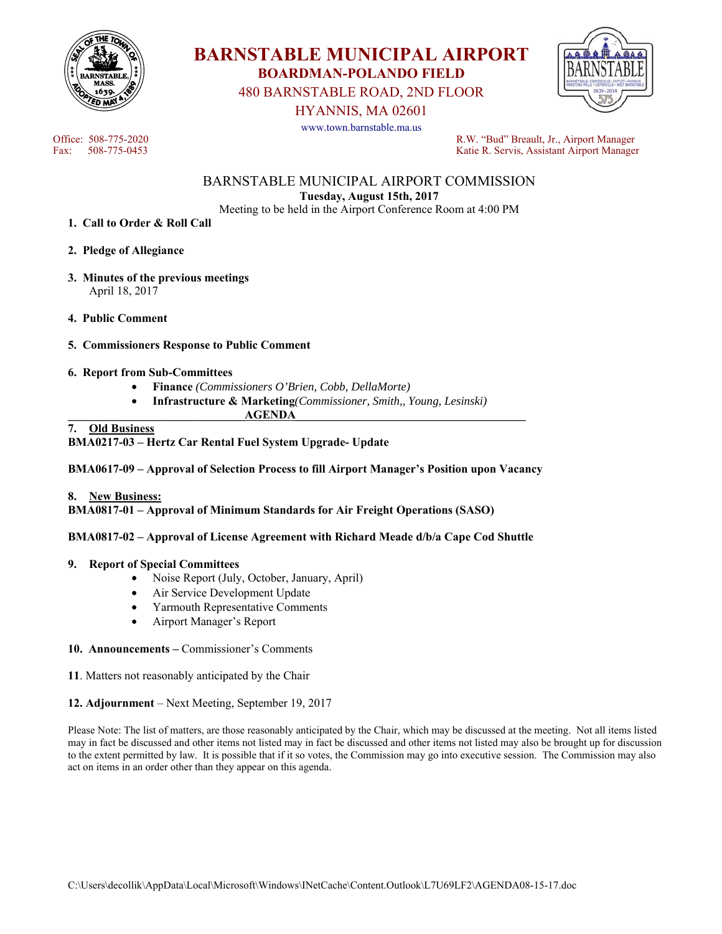



480 BARNSTABLE ROAD, 2ND FLOOR

HYANNIS, MA 02601

www.town.barnstable.ma.us



Office: 508-775-2020 R.W. "Bud" Breault, Jr., Airport Manager Fax: 508-775-0453 Katie R. Servis, Assistant Airport Manager

> BARNSTABLE MUNICIPAL AIRPORT COMMISSION **Tuesday, August 15th, 2017**

Meeting to be held in the Airport Conference Room at 4:00 PM

- **1. Call to Order & Roll Call**
- **2. Pledge of Allegiance**
- **3. Minutes of the previous meetings**  April 18, 2017
- **4. Public Comment**
- **5. Commissioners Response to Public Comment**
- **6. Report from Sub-Committees** 
	- **Finance** *(Commissioners O'Brien, Cobb, DellaMorte)*
	- **Infrastructure & Marketing***(Commissioner, Smith,, Young, Lesinski)*

 $AGENDA$ 

# **7. Old Business**

**BMA0217-03 – Hertz Car Rental Fuel System Upgrade- Update** 

**BMA0617-09 – Approval of Selection Process to fill Airport Manager's Position upon Vacancy** 

**8. New Business:** 

**BMA0817-01 – Approval of Minimum Standards for Air Freight Operations (SASO)** 

**BMA0817-02 – Approval of License Agreement with Richard Meade d/b/a Cape Cod Shuttle** 

#### **9. Report of Special Committees**

- Noise Report (July, October, January, April)
- Air Service Development Update
- Yarmouth Representative Comments
- Airport Manager's Report
- **10. Announcements** Commissioner's Comments
- **11**. Matters not reasonably anticipated by the Chair

#### **12. Adjournment** – Next Meeting, September 19, 2017

Please Note: The list of matters, are those reasonably anticipated by the Chair, which may be discussed at the meeting. Not all items listed may in fact be discussed and other items not listed may in fact be discussed and other items not listed may also be brought up for discussion to the extent permitted by law. It is possible that if it so votes, the Commission may go into executive session. The Commission may also act on items in an order other than they appear on this agenda.